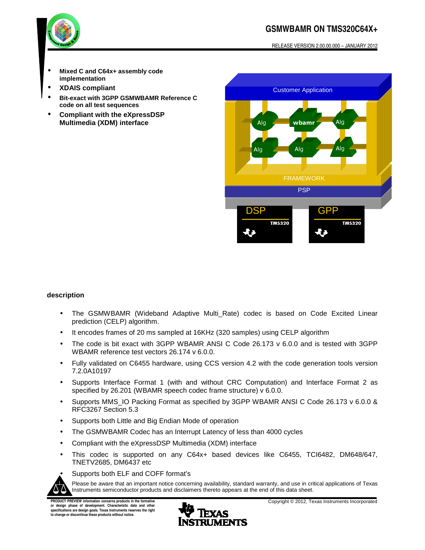## **GSMWBAMR ON TMS320C64X+**

RELEASE VERSION 2.00.00.000 – JANUARY 2012



- **Mixed C and C64x+ assembly code implementation**
- **XDAIS compliant**
- **Bit-exact with 3GPP GSMWBAMR Reference C code on all test sequences**
- **Compliant with the eXpressDSP Multimedia (XDM) interface**



### **description**

- The GSMWBAMR (Wideband Adaptive Multi\_Rate) codec is based on Code Excited Linear prediction (CELP) algorithm.
- It encodes frames of 20 ms sampled at 16KHz (320 samples) using CELP algorithm
- The code is bit exact with 3GPP WBAMR ANSI C Code 26.173 v 6.0.0 and is tested with 3GPP WBAMR reference test vectors 26.174 v 6.0.0.
- Fully validated on C6455 hardware, using CCS version 4.2 with the code generation tools version 7.2.0A10197
- Supports Interface Format 1 (with and without CRC Computation) and Interface Format 2 as specified by 26.201 (WBAMR speech codec frame structure) v 6.0.0.
- Supports MMS IO Packing Format as specified by 3GPP WBAMR ANSI C Code 26.173 v 6.0.0 & RFC3267 Section 5.3
- Supports both Little and Big Endian Mode of operation
- The GSMWBAMR Codec has an Interrupt Latency of less than 4000 cycles
- Compliant with the eXpressDSP Multimedia (XDM) interface
- This codec is supported on any C64x+ based devices like C6455, TCI6482, DM648/647, TNETV2685, DM6437 etc



• Supports both ELF and COFF format's

Please be aware that an important notice concerning availability, standard warranty, and use in critical applications of Texas Instruments semiconductor products and disclaimers thereto appears at the end of this data sheet.

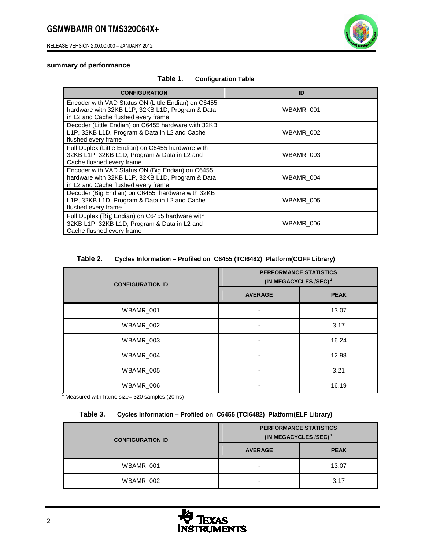RELEASE VERSION 2.00.00.000 – JANUARY 2012



### **summary of performance**

| <b>CONFIGURATION</b>                                                                                                                           | ID        |
|------------------------------------------------------------------------------------------------------------------------------------------------|-----------|
| Encoder with VAD Status ON (Little Endian) on C6455<br>hardware with 32KB L1P, 32KB L1D, Program & Data<br>in L2 and Cache flushed every frame | WBAMR_001 |
| Decoder (Little Endian) on C6455 hardware with 32KB<br>L1P, 32KB L1D, Program & Data in L2 and Cache<br>flushed every frame                    | WBAMR 002 |
| Full Duplex (Little Endian) on C6455 hardware with<br>32KB L1P, 32KB L1D, Program & Data in L2 and<br>Cache flushed every frame                | WBAMR 003 |
| Encoder with VAD Status ON (Big Endian) on C6455<br>hardware with 32KB L1P, 32KB L1D, Program & Data<br>in L2 and Cache flushed every frame    | WBAMR 004 |
| Decoder (Big Endian) on C6455 hardware with 32KB<br>L1P, 32KB L1D, Program & Data in L2 and Cache<br>flushed every frame                       | WBAMR 005 |
| Full Duplex (Big Endian) on C6455 hardware with<br>32KB L1P, 32KB L1D, Program & Data in L2 and<br>Cache flushed every frame                   | WBAMR 006 |

### **Table 2. Cycles Information – Profiled on C6455 (TCI6482) Platform(COFF Library)**

| <b>CONFIGURATION ID</b> | <b>PERFORMANCE STATISTICS</b><br>(IN MEGACYCLES /SEC) <sup>1</sup> |             |  |
|-------------------------|--------------------------------------------------------------------|-------------|--|
|                         | <b>AVERAGE</b>                                                     | <b>PEAK</b> |  |
| WBAMR_001               |                                                                    | 13.07       |  |
| WBAMR_002               |                                                                    | 3.17        |  |
| WBAMR_003               |                                                                    | 16.24       |  |
| WBAMR_004               |                                                                    | 12.98       |  |
| WBAMR_005               |                                                                    | 3.21        |  |
| WBAMR_006               |                                                                    | 16.19       |  |

<sup>1</sup> Measured with frame size= 320 samples (20ms)

### **Table 3. Cycles Information – Profiled on C6455 (TCI6482) Platform(ELF Library)**

| <b>CONFIGURATION ID</b> | <b>PERFORMANCE STATISTICS</b><br>(IN MEGACYCLES /SEC) <sup>1</sup> |             |  |
|-------------------------|--------------------------------------------------------------------|-------------|--|
|                         | <b>AVERAGE</b>                                                     | <b>PEAK</b> |  |
| WBAMR 001               | $\overline{\phantom{0}}$                                           | 13.07       |  |
| WBAMR_002               | $\overline{\phantom{0}}$                                           | 3.17        |  |

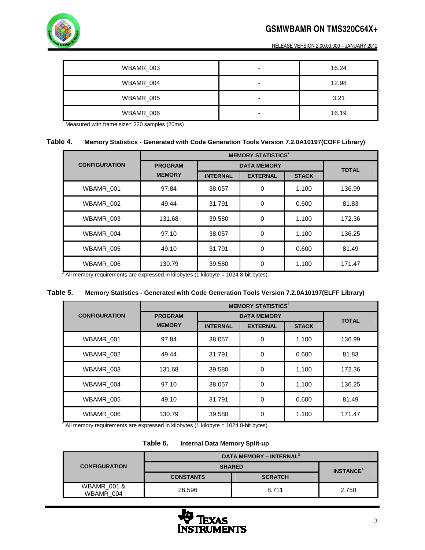# **GSMWBAMR ON TMS320C64X+**



RELEASE VERSION 2.00.00.000 – JANUARY 2012

| WBAMR_003                                         | $\overline{\phantom{0}}$ | 16.24 |
|---------------------------------------------------|--------------------------|-------|
| WBAMR_004                                         | -                        | 12.98 |
| WBAMR_005                                         | ۰                        | 3.21  |
| WBAMR 006                                         | $\overline{\phantom{0}}$ | 16.19 |
| Mooning with frame $\frac{1}{200}$ complex (20mo) |                          |       |

Measured with frame size= 320 samples (20ms)

### **Table 4. Memory Statistics - Generated with Code Generation Tools Version 7.2.0A10197(COFF Library)**

|                                                                                                        | <b>MEMORY STATISTICS<sup>2</sup></b> |                 |                 |              |        |
|--------------------------------------------------------------------------------------------------------|--------------------------------------|-----------------|-----------------|--------------|--------|
| <b>CONFIGURATION</b>                                                                                   | <b>PROGRAM</b><br><b>DATA MEMORY</b> |                 |                 | <b>TOTAL</b> |        |
|                                                                                                        | <b>MEMORY</b>                        | <b>INTERNAL</b> | <b>EXTERNAL</b> | <b>STACK</b> |        |
| WBAMR_001                                                                                              | 97.84                                | 38.057          | 0               | 1.100        | 136.99 |
| WBAMR 002                                                                                              | 49.44                                | 31.791          | 0               | 0.600        | 81.83  |
| WBAMR 003                                                                                              | 131.68                               | 39.580          | 0               | 1.100        | 172.36 |
| WBAMR_004                                                                                              | 97.10                                | 38.057          | 0               | 1.100        | 136.25 |
| WBAMR 005                                                                                              | 49.10                                | 31.791          | 0               | 0.600        | 81.49  |
| WBAMR_006<br>$^{2}$ All memery requirements are everessed in kilobytes (1 kilobyte – 1024.8 bit bytes) | 130.79                               | 39.580          | 0               | 1.100        | 171.47 |

All memory requirements are expressed in kilobytes (1 kilobyte = 1024 8-bit bytes).

### **Table 5. Memory Statistics - Generated with Code Generation Tools Version 7.2.0A10197(ELFF Library)**

|                      | <b>MEMORY STATISTICS<sup>2</sup></b> |                    |                 |              |              |
|----------------------|--------------------------------------|--------------------|-----------------|--------------|--------------|
| <b>CONFIGURATION</b> | <b>PROGRAM</b>                       | <b>DATA MEMORY</b> |                 |              | <b>TOTAL</b> |
|                      | <b>MEMORY</b>                        | <b>INTERNAL</b>    | <b>EXTERNAL</b> | <b>STACK</b> |              |
| WBAMR 001            | 97.84                                | 38.057             | $\Omega$        | 1.100        | 136.99       |
| WBAMR 002            | 49.44                                | 31.791             | $\Omega$        | 0.600        | 81.83        |
| WBAMR_003            | 131.68                               | 39.580             | $\Omega$        | 1.100        | 172.36       |
| WBAMR 004            | 97.10                                | 38,057             | $\Omega$        | 1.100        | 136.25       |
| WBAMR 005            | 49.10                                | 31.791             | $\Omega$        | 0.600        | 81.49        |
| WBAMR 006            | 130.79                               | 39.580             | $\Omega$        | 1.100        | 171.47       |

 $^2$  All memory requirements are expressed in kilobytes (1 kilobyte = 1024 8-bit bytes).

| Table 6. |  |  |  | Internal Data Memory Split-up |
|----------|--|--|--|-------------------------------|
|----------|--|--|--|-------------------------------|

|                                     | DATA MEMORY - INTERNAL <sup>3</sup> |                |                             |
|-------------------------------------|-------------------------------------|----------------|-----------------------------|
| <b>CONFIGURATION</b>                | <b>SHARED</b>                       |                | <b>INSTANCE<sup>4</sup></b> |
|                                     | <b>CONSTANTS</b>                    | <b>SCRATCH</b> |                             |
| <b>WBAMR 001 &amp;</b><br>WBAMR 004 | 26.596                              | 8.711          | 2.750                       |

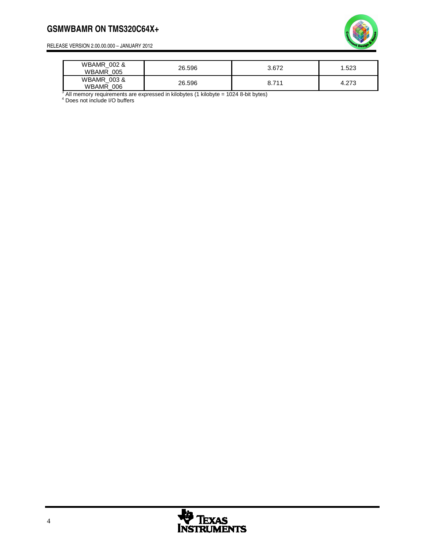### **GSMWBAMR ON TMS320C64X+**



RELEASE VERSION 2.00.00.000 – JANUARY 2012

| <b>WBAMR 002 &amp;</b><br><b>WBAMR</b><br>005 | 26.596 | 3.672 | .523 |
|-----------------------------------------------|--------|-------|------|
| <b>WBAMR 003 &amp;</b><br><b>WBAMR</b><br>006 | 26.596 | 8.711 | 27C  |

 $^3$  All memory requirements are expressed in kilobytes (1 kilobyte = 1024 8-bit bytes)<br><sup>4</sup> Does not include I/O buffers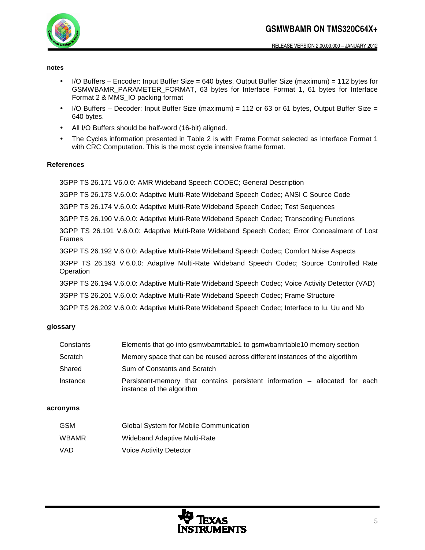

#### **notes**

- I/O Buffers Encoder: Input Buffer Size = 640 bytes, Output Buffer Size (maximum) = 112 bytes for GSMWBAMR\_PARAMETER\_FORMAT, 63 bytes for Interface Format 1, 61 bytes for Interface Format 2 & MMS\_IO packing format
- I/O Buffers Decoder: Input Buffer Size (maximum) = 112 or 63 or 61 bytes, Output Buffer Size = 640 bytes.
- All I/O Buffers should be half-word (16-bit) aligned.
- The Cycles information presented in Table 2 is with Frame Format selected as Interface Format 1 with CRC Computation. This is the most cycle intensive frame format.

### **References**

3GPP TS 26.171 V6.0.0: AMR Wideband Speech CODEC; General Description

3GPP TS 26.173 V.6.0.0: Adaptive Multi-Rate Wideband Speech Codec; ANSI C Source Code

3GPP TS 26.174 V.6.0.0: Adaptive Multi-Rate Wideband Speech Codec; Test Sequences

3GPP TS 26.190 V.6.0.0: Adaptive Multi-Rate Wideband Speech Codec; Transcoding Functions

3GPP TS 26.191 V.6.0.0: Adaptive Multi-Rate Wideband Speech Codec; Error Concealment of Lost Frames

3GPP TS 26.192 V.6.0.0: Adaptive Multi-Rate Wideband Speech Codec; Comfort Noise Aspects

3GPP TS 26.193 V.6.0.0: Adaptive Multi-Rate Wideband Speech Codec; Source Controlled Rate **Operation** 

3GPP TS 26.194 V.6.0.0: Adaptive Multi-Rate Wideband Speech Codec; Voice Activity Detector (VAD)

3GPP TS 26.201 V.6.0.0: Adaptive Multi-Rate Wideband Speech Codec; Frame Structure

3GPP TS 26.202 V.6.0.0: Adaptive Multi-Rate Wideband Speech Codec; Interface to Iu, Uu and Nb

### **glossary**

| Constants | Elements that go into gsmwbamrtable1 to gsmwbamrtable10 memory section                                   |  |  |
|-----------|----------------------------------------------------------------------------------------------------------|--|--|
| Scratch   | Memory space that can be reused across different instances of the algorithm                              |  |  |
| Shared    | Sum of Constants and Scratch                                                                             |  |  |
| Instance  | Persistent-memory that contains persistent information - allocated for each<br>instance of the algorithm |  |  |

### **acronyms**

| <b>GSM</b>   | Global System for Mobile Communication |
|--------------|----------------------------------------|
| <b>WBAMR</b> | Wideband Adaptive Multi-Rate           |
| VAD.         | Voice Activity Detector                |

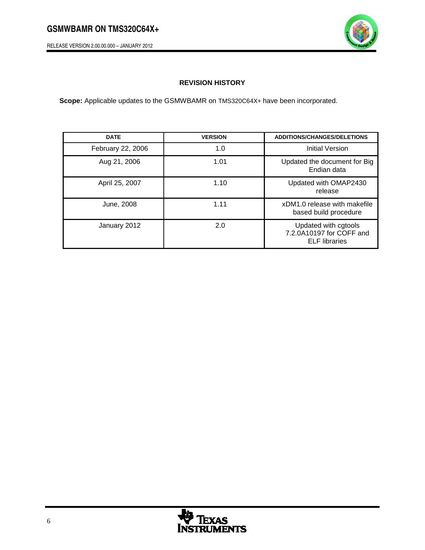RELEASE VERSION 2.00.00.000 – JANUARY 2012



### **REVISION HISTORY**

**Scope:** Applicable updates to the GSMWBAMR on TMS320C64X+ have been incorporated.

| <b>DATE</b>       | <b>VERSION</b> | <b>ADDITIONS/CHANGES/DELETIONS</b>                                       |
|-------------------|----------------|--------------------------------------------------------------------------|
| February 22, 2006 | 1.0            | <b>Initial Version</b>                                                   |
| Aug 21, 2006      | 1.01           | Updated the document for Big<br>Endian data                              |
| April 25, 2007    | 1.10           | Updated with OMAP2430<br>release                                         |
| June, 2008        | 1.11           | xDM1.0 release with makefile<br>based build procedure                    |
| January 2012      | 2.0            | Updated with cgtools<br>7.2.0A10197 for COFF and<br><b>ELF</b> libraries |